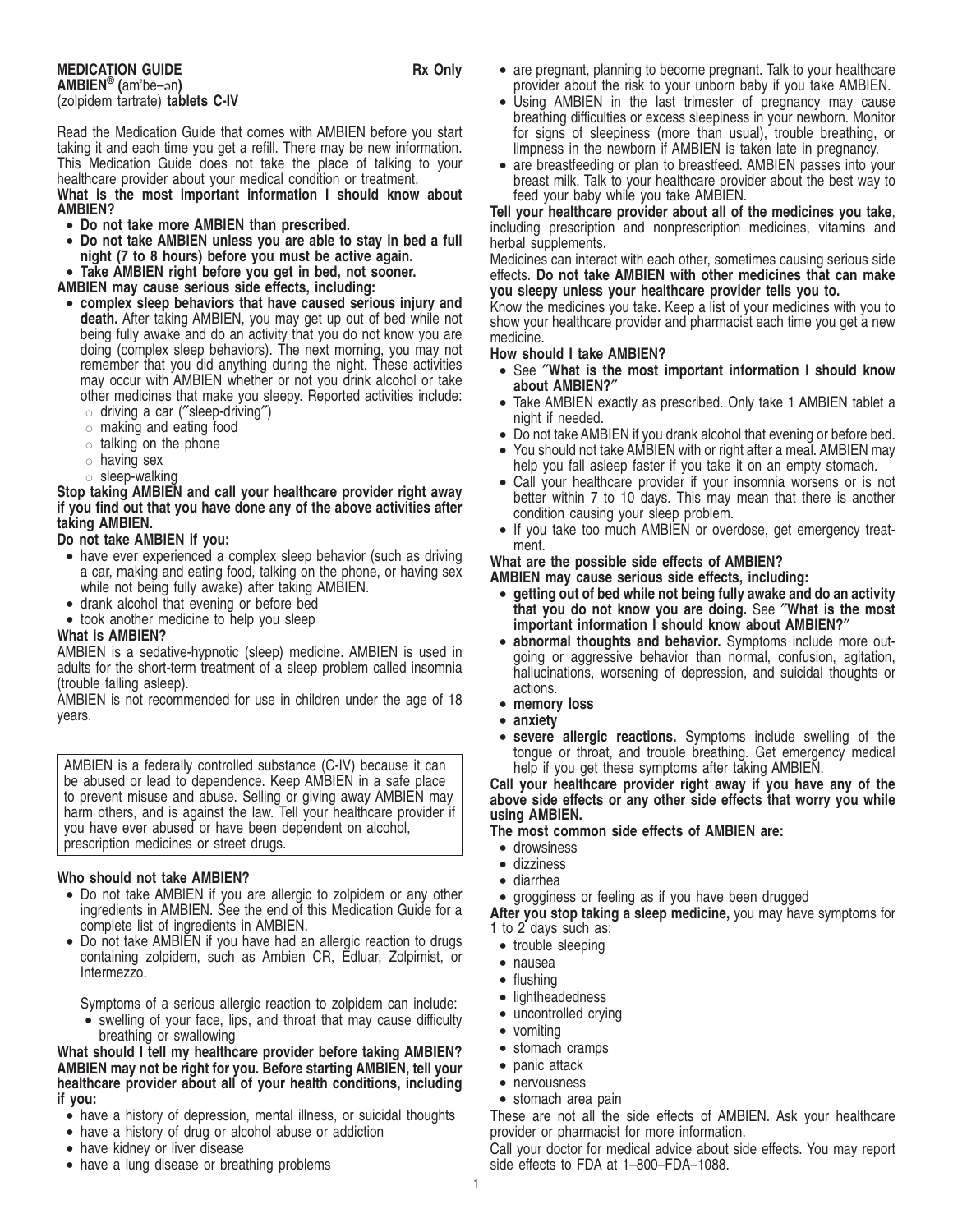**MEDICATION GUIDE Rx Only AMBIEN® (**a¯m'be¯–ən**)** (zolpidem tartrate) **tablets C-IV**

Read the Medication Guide that comes with AMBIEN before you start taking it and each time you get a refill. There may be new information. This Medication Guide does not take the place of talking to your healthcare provider about your medical condition or treatment.

**What is the most important information I should know about AMBIEN?**

- **Do not take more AMBIEN than prescribed.**
- **Do not take AMBIEN unless you are able to stay in bed a full night (7 to 8 hours) before you must be active again.**
- **Take AMBIEN right before you get in bed, not sooner.**

**AMBIEN may cause serious side effects, including:**

- **complex sleep behaviors that have caused serious injury and death.** After taking AMBIEN, you may get up out of bed while not being fully awake and do an activity that you do not know you are doing (complex sleep behaviors). The next morning, you may not remember that you did anything during the night. These activities may occur with AMBIEN whether or not you drink alcohol or take other medicines that make you sleepy. Reported activities include:  $\circ$  driving a car ("sleep-driving")
	- $\circ$  making and eating food
	-
	- $\circ$  talking on the phone
	- $\circ$  having sex
	- $\circ$  sleep-walking

**Stop taking AMBIEN and call your healthcare provider right away if you find out that you have done any of the above activities after taking AMBIEN.**

### **Do not take AMBIEN if you:**

- have ever experienced a complex sleep behavior (such as driving a car, making and eating food, talking on the phone, or having sex while not being fully awake) after taking AMBIEN.
- drank alcohol that evening or before bed
- took another medicine to help you sleep

## **What is AMBIEN?**

AMBIEN is a sedative-hypnotic (sleep) medicine. AMBIEN is used in adults for the short-term treatment of a sleep problem called insomnia (trouble falling asleep).

AMBIEN is not recommended for use in children under the age of 18 years.

AMBIEN is a federally controlled substance (C-IV) because it can be abused or lead to dependence. Keep AMBIEN in a safe place to prevent misuse and abuse. Selling or giving away AMBIEN may harm others, and is against the law. Tell your healthcare provider if you have ever abused or have been dependent on alcohol, prescription medicines or street drugs.

## **Who should not take AMBIEN?**

- Do not take AMBIEN if you are allergic to zolpidem or any other ingredients in AMBIEN. See the end of this Medication Guide for a complete list of ingredients in AMBIEN.
- Do not take AMBIEN if you have had an allergic reaction to drugs containing zolpidem, such as Ambien CR, Edluar, Zolpimist, or Intermezzo.

Symptoms of a serious allergic reaction to zolpidem can include: • swelling of your face, lips, and throat that may cause difficulty

breathing or swallowing

**What should I tell my healthcare provider before taking AMBIEN? AMBIEN may not be right for you. Before starting AMBIEN, tell your healthcare provider about all of your health conditions, including if you:**

- have a history of depression, mental illness, or suicidal thoughts
- have a history of drug or alcohol abuse or addiction
- have kidney or liver disease
- have a lung disease or breathing problems
- are pregnant, planning to become pregnant. Talk to your healthcare provider about the risk to your unborn baby if you take AMBIEN.
- Using AMBIEN in the last trimester of pregnancy may cause breathing difficulties or excess sleepiness in your newborn. Monitor for signs of sleepiness (more than usual), trouble breathing, or limpness in the newborn if AMBIEN is taken late in pregnancy.
- are breastfeeding or plan to breastfeed. AMBIEN passes into your breast milk. Talk to your healthcare provider about the best way to feed your baby while you take AMBIEN.

**Tell your healthcare provider about all of the medicines you take**, including prescription and nonprescription medicines, vitamins and herbal supplements.

Medicines can interact with each other, sometimes causing serious side effects. **Do not take AMBIEN with other medicines that can make you sleepy unless your healthcare provider tells you to.**

Know the medicines you take. Keep a list of your medicines with you to show your healthcare provider and pharmacist each time you get a new medicine.

### **How should I take AMBIEN?**

- See ″**What is the most important information I should know about AMBIEN?**″
- Take AMBIEN exactly as prescribed. Only take 1 AMBIEN tablet a night if needed.
- Do not take AMBIEN if you drank alcohol that evening or before bed.
- You should not take AMBIEN with or right after a meal. AMBIEN may help you fall asleep faster if you take it on an empty stomach.
- Call your healthcare provider if your insomnia worsens or is not better within 7 to 10 days. This may mean that there is another condition causing your sleep problem.
- If you take too much AMBIEN or overdose, get emergency treatment.

### **What are the possible side effects of AMBIEN?**

**AMBIEN may cause serious side effects, including:**

- **getting out of bed while not being fully awake and do an activity that you do not know you are doing.** See ″**What is the most important information I should know about AMBIEN?**″
- **abnormal thoughts and behavior.** Symptoms include more outgoing or aggressive behavior than normal, confusion, agitation, hallucinations, worsening of depression, and suicidal thoughts or actions.
- **memory loss**
- **anxiety**
- severe allergic reactions. Symptoms include swelling of the tongue or throat, and trouble breathing. Get emergency medical help if you get these symptoms after taking AMBIEN.

**Call your healthcare provider right away if you have any of the above side effects or any other side effects that worry you while using AMBIEN.**

**The most common side effects of AMBIEN are:**

- drowsiness
- dizziness
- diarrhea

• grogginess or feeling as if you have been drugged

**After you stop taking a sleep medicine,** you may have symptoms for 1 to 2 days such as:

- trouble sleeping
- nausea
- flushing
- lightheadedness
- uncontrolled crying
- vomiting
- stomach cramps
- panic attack
- nervousness
- stomach area pain

These are not all the side effects of AMBIEN. Ask your healthcare provider or pharmacist for more information.

Call your doctor for medical advice about side effects. You may report side effects to FDA at 1–800–FDA–1088.